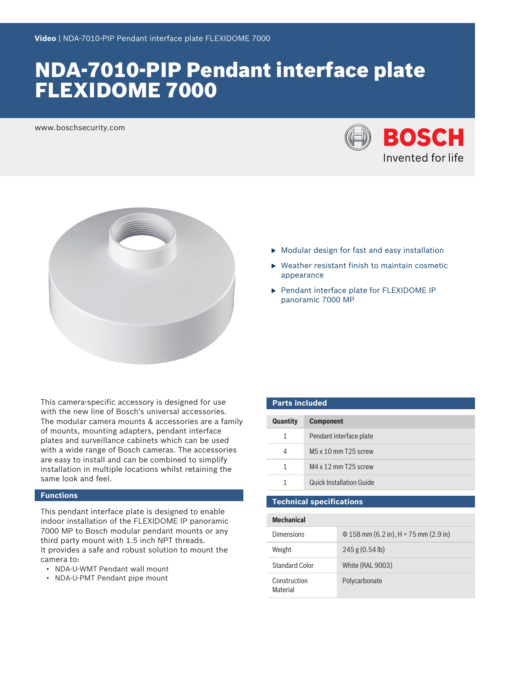# NDA-7010-PIP Pendant interface plate FLEXIDOME 7000

www.boschsecurity.com





- $\blacktriangleright$  Modular design for fast and easy installation
- $\triangleright$  Weather resistant finish to maintain cosmetic appearance
- ▶ Pendant interface plate for FLEXIDOME IP panoramic 7000 MP

This camera-specific accessory is designed for use with the new line of Bosch's universal accessories. The modular camera mounts & accessories are a family of mounts, mounting adapters, pendant interface plates and surveillance cabinets which can be used with a wide range of Bosch cameras. The accessories are easy to install and can be combined to simplify installation in multiple locations whilst retaining the same look and feel.

### **Functions**

This pendant interface plate is designed to enable indoor installation of the FLEXIDOME IP panoramic 7000 MP to Bosch modular pendant mounts or any third party mount with 1.5 inch NPT threads. It provides a safe and robust solution to mount the camera to:

- NDA-U-WMT Pendant wall mount
- NDA-U-PMT Pendant pipe mount

| <b>Parts included</b> |                                 |  |
|-----------------------|---------------------------------|--|
| <b>Quantity</b>       | <b>Component</b>                |  |
| 1                     | Pendant interface plate         |  |
| 4                     | $M5 \times 10$ mm T25 screw     |  |
| 1                     | $MA \times 12$ mm T25 screw     |  |
| 1                     | <b>Quick Installation Guide</b> |  |
|                       |                                 |  |

## **Technical specifications**

| <b>Mechanical</b>               |                                            |  |
|---------------------------------|--------------------------------------------|--|
| Dimensions                      | $\Phi$ 158 mm (6.2 in), H = 75 mm (2.9 in) |  |
| Weight                          | 245 g (0.54 lb)                            |  |
| Standard Color                  | <b>White (RAL 9003)</b>                    |  |
| Construction<br><b>Material</b> | Polycarbonate                              |  |